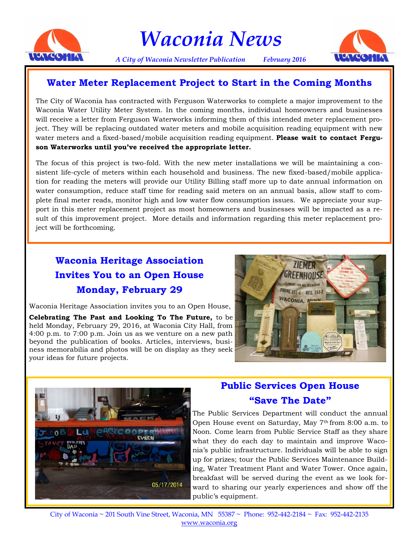

*Waconia News*

*A City of Waconia Newsletter Publication February 2016*



## **Water Meter Replacement Project to Start in the Coming Months**

The City of Waconia has contracted with Ferguson Waterworks to complete a major improvement to the Waconia Water Utility Meter System. In the coming months, individual homeowners and businesses will receive a letter from Ferguson Waterworks informing them of this intended meter replacement project. They will be replacing outdated water meters and mobile acquisition reading equipment with new water meters and a fixed-based/mobile acquisition reading equipment. **Please wait to contact Ferguson Waterworks until you've received the appropriate letter.**

The focus of this project is two-fold. With the new meter installations we will be maintaining a consistent life-cycle of meters within each household and business. The new fixed-based/mobile application for reading the meters will provide our Utility Billing staff more up to date annual information on water consumption, reduce staff time for reading said meters on an annual basis, allow staff to complete final meter reads, monitor high and low water flow consumption issues. We appreciate your support in this meter replacement project as most homeowners and businesses will be impacted as a result of this improvement project. More details and information regarding this meter replacement project will be forthcoming.

# **Waconia Heritage Association Invites You to an Open House Monday, February 29**

Waconia Heritage Association invites you to an Open House, **Celebrating The Past and Looking To The Future,** to be held Monday, February 29, 2016, at Waconia City Hall, from 4:00 p.m. to 7:00 p.m. Join us as we venture on a new path beyond the publication of books. Articles, interviews, business memorabilia and photos will be on display as they seek your ideas for future projects.





## **Public Services Open House "Save The Date"**

The Public Services Department will conduct the annual Open House event on Saturday, May 7<sup>th</sup> from 8:00 a.m. to Noon. Come learn from Public Service Staff as they share what they do each day to maintain and improve Waconia's public infrastructure. Individuals will be able to sign up for prizes; tour the Public Services Maintenance Building, Water Treatment Plant and Water Tower. Once again, breakfast will be served during the event as we look forward to sharing our yearly experiences and show off the public's equipment.